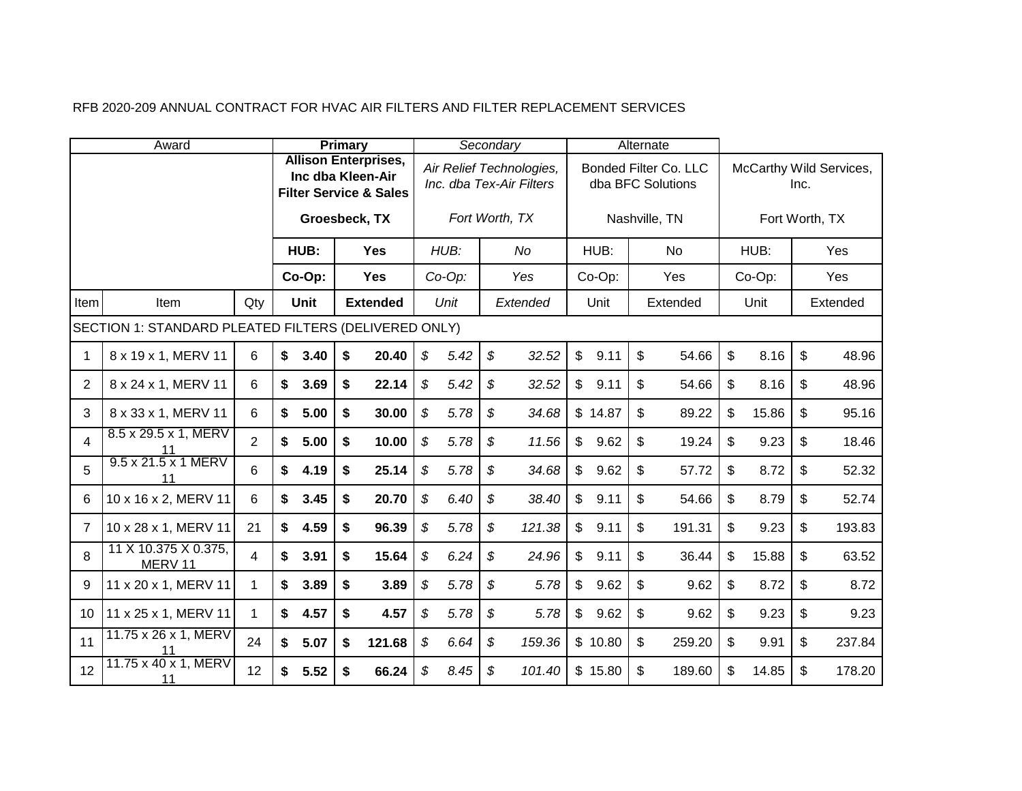|  |  |  | RFB 2020-209 ANNUAL CONTRACT FOR HVAC AIR FILTERS AND FILTER REPLACEMENT SERVICES |
|--|--|--|-----------------------------------------------------------------------------------|
|--|--|--|-----------------------------------------------------------------------------------|

|                 | Award                                                |                |                   | <b>Primary</b> |                                                                  |                            |           | Secondary     |                                                      |                |         | Alternate |                                                   |             |      |                         |
|-----------------|------------------------------------------------------|----------------|-------------------|----------------|------------------------------------------------------------------|----------------------------|-----------|---------------|------------------------------------------------------|----------------|---------|-----------|---------------------------------------------------|-------------|------|-------------------------|
|                 |                                                      |                | Inc dba Kleen-Air |                | <b>Allison Enterprises,</b><br><b>Filter Service &amp; Sales</b> |                            |           |               | Air Relief Technologies,<br>Inc. dba Tex-Air Filters |                |         |           | <b>Bonded Filter Co. LLC</b><br>dba BFC Solutions |             | Inc. | McCarthy Wild Services, |
|                 |                                                      |                |                   |                | Groesbeck, TX                                                    |                            |           |               | Fort Worth, TX                                       |                |         |           | Nashville, TN                                     |             |      | Fort Worth, TX          |
|                 |                                                      |                | HUB:              |                | <b>Yes</b>                                                       |                            | HUB:      |               | No                                                   |                | HUB:    |           | <b>No</b>                                         | HUB:        |      | Yes                     |
|                 |                                                      |                | Co-Op:            |                | <b>Yes</b>                                                       |                            | $Co-Op$ : |               | Yes                                                  |                | Co-Op:  |           | Yes                                               | Co-Op:      |      | Yes                     |
| Item            | Item                                                 | Qty            | <b>Unit</b>       |                | <b>Extended</b>                                                  |                            | Unit      |               | Extended                                             |                | Unit    |           | Extended                                          | Unit        |      | Extended                |
|                 | SECTION 1: STANDARD PLEATED FILTERS (DELIVERED ONLY) |                |                   |                |                                                                  |                            |           |               |                                                      |                |         |           |                                                   |             |      |                         |
| 1               | 8 x 19 x 1, MERV 11                                  | 6              | \$<br>3.40        | \$             | 20.40                                                            | \$                         | 5.42      | \$            | 32.52                                                | $\mathfrak{S}$ | 9.11    | \$        | 54.66                                             | \$<br>8.16  | \$   | 48.96                   |
| $\overline{2}$  | 8 x 24 x 1, MERV 11                                  | 6              | \$<br>3.69        | \$             | 22.14                                                            | $\boldsymbol{\mathcal{S}}$ | 5.42      | \$            | 32.52                                                | $\mathfrak{S}$ | 9.11    | \$        | 54.66                                             | \$<br>8.16  | \$   | 48.96                   |
| 3               | 8 x 33 x 1, MERV 11                                  | 6              | \$<br>5.00        | \$             | 30.00                                                            | $\boldsymbol{\mathcal{S}}$ | 5.78      | \$            | 34.68                                                |                | \$14.87 | \$        | 89.22                                             | \$<br>15.86 | \$   | 95.16                   |
| 4               | 8.5 x 29.5 x 1, MERV<br>11                           | $\overline{2}$ | \$<br>5.00        | \$             | 10.00                                                            | \$                         | 5.78      | \$            | 11.56                                                | $\mathbb{S}$   | 9.62    | \$        | 19.24                                             | \$<br>9.23  | \$   | 18.46                   |
| 5               | 9.5 x 21.5 x 1 MERV<br>11                            | 6              | \$<br>4.19        | \$             | 25.14                                                            | $\boldsymbol{\mathcal{S}}$ | 5.78      | \$            | 34.68                                                | $\mathfrak{S}$ | 9.62    | \$        | 57.72                                             | \$<br>8.72  | \$   | 52.32                   |
| 6               | 10 x 16 x 2, MERV 11                                 | 6              | \$<br>3.45        | \$             | 20.70                                                            | \$                         | 6.40      | \$            | 38.40                                                | $\mathbb{S}$   | 9.11    | \$        | 54.66                                             | \$<br>8.79  | \$   | 52.74                   |
| 7               | 10 x 28 x 1, MERV 11                                 | 21             | \$<br>4.59        | \$             | 96.39                                                            | $\mathfrak{F}$             | 5.78      | \$            | 121.38                                               | $\mathfrak{S}$ | 9.11    | \$        | 191.31                                            | \$<br>9.23  | \$   | 193.83                  |
| 8               | 11 X 10.375 X 0.375,<br>MERV 11                      | 4              | \$<br>3.91        | \$             | 15.64                                                            | $\boldsymbol{\mathcal{S}}$ | 6.24      | \$            | 24.96                                                | $\mathfrak{S}$ | 9.11    | \$        | 36.44                                             | \$<br>15.88 | \$   | 63.52                   |
| 9               | 11 x 20 x 1, MERV 11                                 | $\mathbf 1$    | \$<br>3.89        | \$             | 3.89                                                             | \$                         | 5.78      | $\mathcal{L}$ | 5.78                                                 | $\mathfrak{S}$ | 9.62    | \$        | 9.62                                              | \$<br>8.72  | \$   | 8.72                    |
| 10 <sup>°</sup> | 11 x 25 x 1, MERV 11                                 | 1              | \$<br>4.57        | \$             | 4.57                                                             | \$                         | 5.78      | \$            | 5.78                                                 | $\mathfrak{S}$ | 9.62    | \$        | 9.62                                              | \$<br>9.23  | \$   | 9.23                    |
| 11              | 11.75 x 26 x 1, MERV<br>11                           | 24             | \$<br>5.07        | \$             | 121.68                                                           | \$                         | 6.64      | \$            | 159.36                                               |                | \$10.80 | \$        | 259.20                                            | \$<br>9.91  | \$   | 237.84                  |
| 12              | 11.75 x 40 x 1, MERV<br>11                           | 12             | \$<br>5.52        | \$             | 66.24                                                            | \$                         | 8.45      | \$            | 101.40                                               |                | \$15.80 | \$        | 189.60                                            | \$<br>14.85 | \$   | 178.20                  |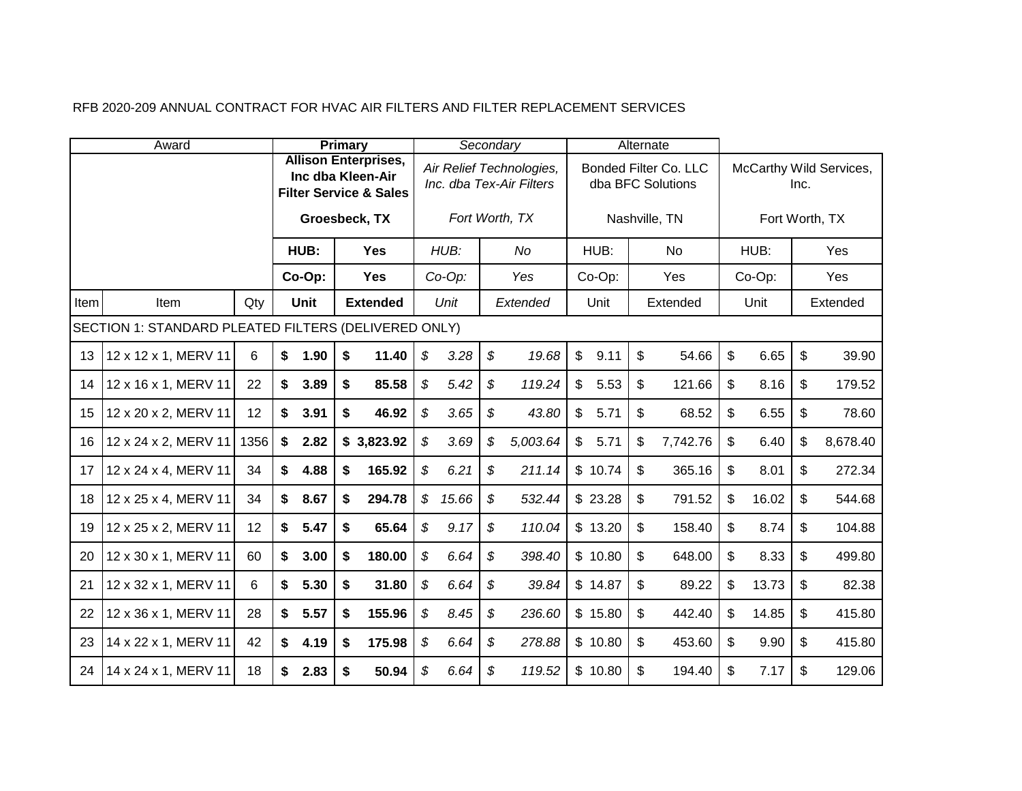|      | Award                                                |      |            | <b>Primary</b>                                                                        |                            |        |                            | Secondary                                            |                |         | Alternate      |                                            |                |      |                         |
|------|------------------------------------------------------|------|------------|---------------------------------------------------------------------------------------|----------------------------|--------|----------------------------|------------------------------------------------------|----------------|---------|----------------|--------------------------------------------|----------------|------|-------------------------|
|      |                                                      |      |            | <b>Allison Enterprises,</b><br>Inc dba Kleen-Air<br><b>Filter Service &amp; Sales</b> |                            |        |                            | Air Relief Technologies,<br>Inc. dba Tex-Air Filters |                |         |                | Bonded Filter Co. LLC<br>dba BFC Solutions |                | Inc. | McCarthy Wild Services, |
|      |                                                      |      |            | Groesbeck, TX                                                                         |                            |        |                            | Fort Worth, TX                                       |                |         |                | Nashville, TN                              | Fort Worth, TX |      |                         |
|      |                                                      |      | HUB:       | <b>Yes</b>                                                                            |                            | HUB:   |                            | No                                                   |                | HUB:    |                | <b>No</b>                                  | HUB:           |      | Yes                     |
|      |                                                      |      | Co-Op:     | <b>Yes</b>                                                                            |                            | Co-Op: |                            | Yes                                                  |                | Co-Op:  |                | Yes                                        | Co-Op:         |      | Yes                     |
| Item | Item                                                 | Qty  | Unit       | <b>Extended</b>                                                                       |                            | Unit   |                            | Extended                                             |                | Unit    |                | Extended                                   | Unit           |      | Extended                |
|      | SECTION 1: STANDARD PLEATED FILTERS (DELIVERED ONLY) |      |            |                                                                                       |                            |        |                            |                                                      |                |         |                |                                            |                |      |                         |
| 13   | 12 x 12 x 1, MERV 11                                 | 6    | \$<br>1.90 | \$<br>11.40                                                                           | $\mathfrak{F}$             | 3.28   | $\boldsymbol{\mathcal{S}}$ | 19.68                                                | $\mathbb{S}$   | 9.11    | $\mathfrak{S}$ | 54.66                                      | \$<br>6.65     | \$   | 39.90                   |
| 14   | 12 x 16 x 1, MERV 11                                 | 22   | \$<br>3.89 | \$<br>85.58                                                                           | $\mathcal{L}$              | 5.42   | \$                         | 119.24                                               | $\mathfrak{S}$ | 5.53    | \$             | 121.66                                     | \$<br>8.16     | \$   | 179.52                  |
| 15   | 12 x 20 x 2, MERV 11                                 | 12   | \$<br>3.91 | \$<br>46.92                                                                           | \$                         | 3.65   | \$                         | 43.80                                                | $\mathbb{S}$   | 5.71    | \$             | 68.52                                      | \$<br>6.55     | \$   | 78.60                   |
| 16   | 12 x 24 x 2, MERV 11                                 | 1356 | \$<br>2.82 | \$3,823.92                                                                            | \$                         | 3.69   | \$                         | 5,003.64                                             | $\mathfrak{S}$ | 5.71    | \$             | 7,742.76                                   | \$<br>6.40     | \$   | 8,678.40                |
| 17   | 12 x 24 x 4, MERV 11                                 | 34   | \$<br>4.88 | \$<br>165.92                                                                          | \$                         | 6.21   | \$                         | 211.14                                               |                | \$10.74 | \$             | 365.16                                     | \$<br>8.01     | \$   | 272.34                  |
| 18   | 12 x 25 x 4, MERV 11                                 | 34   | \$<br>8.67 | \$<br>294.78                                                                          | $\boldsymbol{\mathcal{S}}$ | 15.66  | \$                         | 532.44                                               |                | \$23.28 | \$             | 791.52                                     | \$<br>16.02    | \$   | 544.68                  |
| 19   | 12 x 25 x 2, MERV 11                                 | 12   | \$<br>5.47 | \$<br>65.64                                                                           | \$                         | 9.17   | \$                         | 110.04                                               |                | \$13.20 | \$             | 158.40                                     | \$<br>8.74     | \$   | 104.88                  |
| 20   | 12 x 30 x 1, MERV 11                                 | 60   | \$<br>3.00 | \$<br>180.00                                                                          | \$                         | 6.64   | \$                         | 398.40                                               |                | \$10.80 | \$             | 648.00                                     | \$<br>8.33     | \$   | 499.80                  |
| 21   | 12 x 32 x 1, MERV 11                                 | 6    | \$<br>5.30 | \$<br>31.80                                                                           | \$                         | 6.64   | \$                         | 39.84                                                |                | \$14.87 | $\mathfrak{S}$ | 89.22                                      | \$<br>13.73    | \$   | 82.38                   |
| 22   | 12 x 36 x 1, MERV 11                                 | 28   | \$<br>5.57 | \$<br>155.96                                                                          | \$                         | 8.45   | \$                         | 236.60                                               |                | \$15.80 | \$             | 442.40                                     | \$<br>14.85    | \$   | 415.80                  |
| 23   | 14 x 22 x 1, MERV 11                                 | 42   | \$<br>4.19 | \$<br>175.98                                                                          | \$                         | 6.64   | \$                         | 278.88                                               |                | \$10.80 | \$             | 453.60                                     | \$<br>9.90     | \$   | 415.80                  |
| 24   | 14 x 24 x 1, MERV 11                                 | 18   | \$<br>2.83 | \$<br>50.94                                                                           | \$                         | 6.64   | \$                         | 119.52                                               |                | \$10.80 | $\mathfrak{L}$ | 194.40                                     | \$<br>7.17     | \$   | 129.06                  |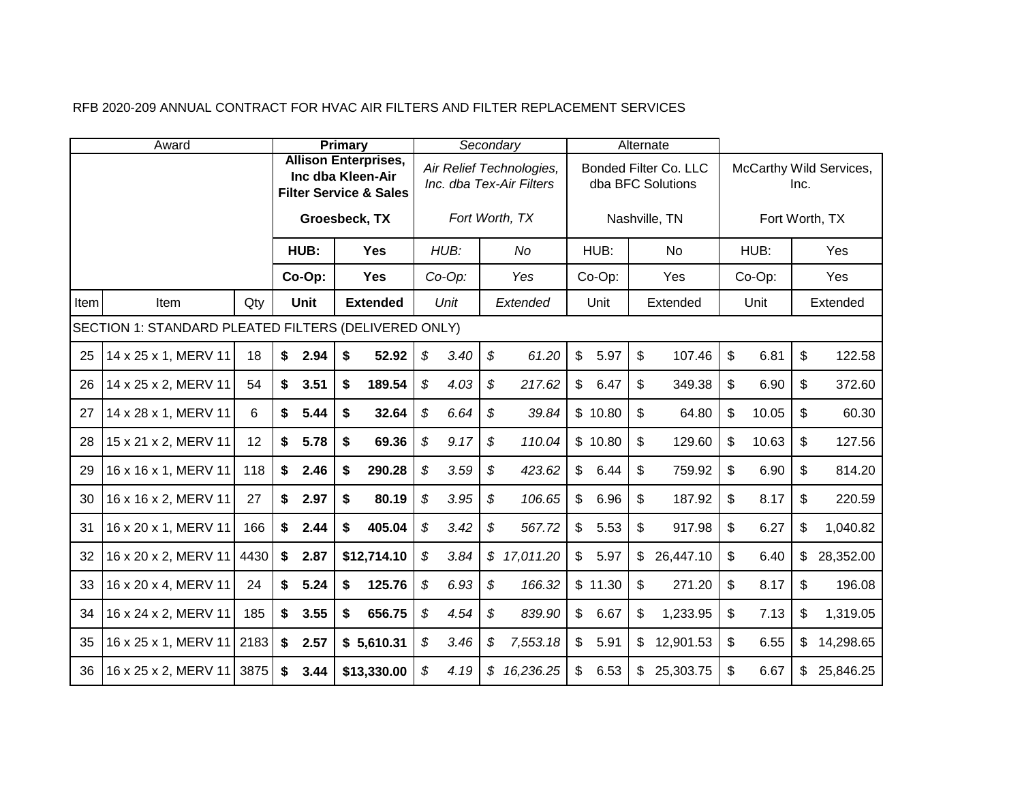|      | Award                                                |      |            | <b>Primary</b> |                                                                                       |                            |           | Secondary                                            |                |         |                | Alternate                                         |                |        |      |                         |
|------|------------------------------------------------------|------|------------|----------------|---------------------------------------------------------------------------------------|----------------------------|-----------|------------------------------------------------------|----------------|---------|----------------|---------------------------------------------------|----------------|--------|------|-------------------------|
|      |                                                      |      |            |                | <b>Allison Enterprises,</b><br>Inc dba Kleen-Air<br><b>Filter Service &amp; Sales</b> |                            |           | Air Relief Technologies,<br>Inc. dba Tex-Air Filters |                |         |                | <b>Bonded Filter Co. LLC</b><br>dba BFC Solutions |                |        | Inc. | McCarthy Wild Services, |
|      |                                                      |      |            |                | Groesbeck, TX                                                                         |                            |           | Fort Worth, TX                                       |                |         |                | Nashville, TN                                     |                |        |      | Fort Worth, TX          |
|      |                                                      |      | HUB:       |                | <b>Yes</b>                                                                            |                            | HUB:      | No                                                   |                | HUB:    |                | <b>No</b>                                         |                | HUB:   |      | Yes                     |
|      |                                                      |      | Co-Op:     |                | <b>Yes</b>                                                                            |                            | $Co-Op$ : | Yes                                                  |                | Co-Op:  |                | Yes                                               |                | Co-Op: |      | Yes                     |
| Item | Item                                                 | Qty  | Unit       |                | <b>Extended</b>                                                                       |                            | Unit      | Extended                                             |                | Unit    |                | Extended                                          |                | Unit   |      | Extended                |
|      | SECTION 1: STANDARD PLEATED FILTERS (DELIVERED ONLY) |      |            |                |                                                                                       |                            |           |                                                      |                |         |                |                                                   |                |        |      |                         |
| 25   | 14 x 25 x 1, MERV 11                                 | 18   | \$<br>2.94 | \$             | 52.92                                                                                 | $\boldsymbol{\mathcal{S}}$ | 3.40      | \$<br>61.20                                          | $\mathbb{S}$   | 5.97    | \$             | 107.46                                            | \$             | 6.81   | \$   | 122.58                  |
| 26   | 14 x 25 x 2, MERV 11                                 | 54   | \$<br>3.51 | \$             | 189.54                                                                                | $\boldsymbol{\mathcal{S}}$ | 4.03      | \$<br>217.62                                         | $\mathbb{S}$   | 6.47    | \$             | 349.38                                            | $\mathfrak{S}$ | 6.90   | \$   | 372.60                  |
| 27   | 14 x 28 x 1, MERV 11                                 | 6    | \$<br>5.44 | \$             | 32.64                                                                                 | \$                         | 6.64      | \$<br>39.84                                          |                | \$10.80 | $\mathfrak{L}$ | 64.80                                             | \$             | 10.05  | \$   | 60.30                   |
| 28   | 15 x 21 x 2, MERV 11                                 | 12   | \$<br>5.78 | \$             | 69.36                                                                                 | \$                         | 9.17      | \$<br>110.04                                         |                | \$10.80 | \$             | 129.60                                            | \$             | 10.63  | \$   | 127.56                  |
| 29   | 16 x 16 x 1, MERV 11                                 | 118  | \$<br>2.46 | \$             | 290.28                                                                                | \$                         | 3.59      | \$<br>423.62                                         | $\mathfrak{S}$ | 6.44    | \$             | 759.92                                            | \$             | 6.90   | \$   | 814.20                  |
| 30   | 16 x 16 x 2, MERV 11                                 | 27   | \$<br>2.97 | \$             | 80.19                                                                                 | \$                         | 3.95      | \$<br>106.65                                         | $\mathbb{S}$   | 6.96    | \$             | 187.92                                            | \$             | 8.17   | \$   | 220.59                  |
| 31   | 16 x 20 x 1, MERV 11                                 | 166  | \$<br>2.44 | \$             | 405.04                                                                                | \$                         | 3.42      | \$<br>567.72                                         | $\mathbb{S}$   | 5.53    | \$             | 917.98                                            | \$             | 6.27   | \$   | 1,040.82                |
| 32   | 16 x 20 x 2, MERV 11                                 | 4430 | \$<br>2.87 |                | \$12,714.10                                                                           | \$                         | 3.84      | \$17,011.20                                          | $\mathbb{S}$   | 5.97    | \$             | 26,447.10                                         | \$             | 6.40   | \$   | 28,352.00               |
| 33   | 16 x 20 x 4, MERV 11                                 | 24   | \$<br>5.24 | \$             | 125.76                                                                                | \$                         | 6.93      | \$<br>166.32                                         |                | \$11.30 | $\mathsf{\$}$  | 271.20                                            | \$             | 8.17   | \$   | 196.08                  |
| 34   | 16 x 24 x 2, MERV 11                                 | 185  | \$<br>3.55 | \$             | 656.75                                                                                | \$                         | 4.54      | \$<br>839.90                                         | $\mathbb{S}$   | 6.67    | \$             | 1,233.95                                          | \$             | 7.13   | \$   | 1,319.05                |
| 35   | 16 x 25 x 1, MERV 11                                 | 2183 | \$<br>2.57 |                | \$5,610.31                                                                            | $\boldsymbol{\mathcal{S}}$ | 3.46      | \$<br>7,553.18                                       | $\mathfrak{S}$ | 5.91    | \$             | 12,901.53                                         | \$             | 6.55   | \$   | 14,298.65               |
| 36   | 16 x 25 x 2, MERV 11                                 | 3875 | \$<br>3.44 |                | \$13,330.00                                                                           | \$                         | 4.19      | \$16,236.25                                          | $\mathbb{S}$   | 6.53    | \$             | 25,303.75                                         | $\mathfrak{S}$ | 6.67   | \$   | 25,846.25               |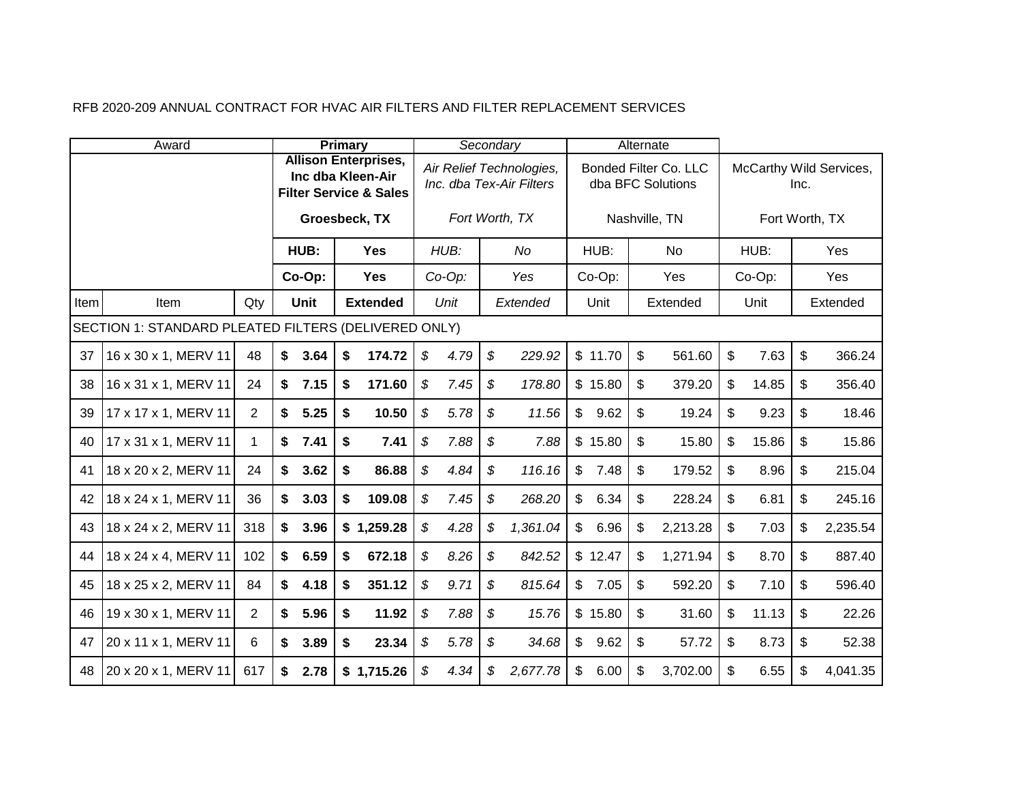|      | Award                                                |     |                   | <b>Primary</b> |                                                                  |                            |           |                            | Secondary                                            |                |         | Alternate      |                                                   |                |      |                         |
|------|------------------------------------------------------|-----|-------------------|----------------|------------------------------------------------------------------|----------------------------|-----------|----------------------------|------------------------------------------------------|----------------|---------|----------------|---------------------------------------------------|----------------|------|-------------------------|
|      |                                                      |     | Inc dba Kleen-Air |                | <b>Allison Enterprises,</b><br><b>Filter Service &amp; Sales</b> |                            |           |                            | Air Relief Technologies,<br>Inc. dba Tex-Air Filters |                |         |                | <b>Bonded Filter Co. LLC</b><br>dba BFC Solutions |                | Inc. | McCarthy Wild Services, |
|      |                                                      |     |                   |                | Groesbeck, TX                                                    |                            |           |                            | Fort Worth, TX                                       |                |         |                | Nashville, TN                                     | Fort Worth, TX |      |                         |
|      |                                                      |     | HUB:              |                | <b>Yes</b>                                                       |                            | HUB:      |                            | No                                                   |                | HUB:    |                | <b>No</b>                                         | HUB:           |      | Yes                     |
|      |                                                      |     | Co-Op:            |                | <b>Yes</b>                                                       |                            | $Co-Op$ : |                            | Yes                                                  |                | Co-Op:  |                | Yes                                               | Co-Op:         |      | Yes                     |
| Item | Item                                                 | Qty | Unit              |                | <b>Extended</b>                                                  |                            | Unit      |                            | Extended                                             |                | Unit    |                | Extended                                          | Unit           |      | Extended                |
|      | SECTION 1: STANDARD PLEATED FILTERS (DELIVERED ONLY) |     |                   |                |                                                                  |                            |           |                            |                                                      |                |         |                |                                                   |                |      |                         |
| 37   | 16 x 30 x 1, MERV 11                                 | 48  | \$<br>3.64        | \$             | 174.72                                                           | $\boldsymbol{\mathcal{S}}$ | 4.79      | $\boldsymbol{\mathcal{S}}$ | 229.92                                               |                | \$11.70 | \$             | 561.60                                            | \$<br>7.63     | \$   | 366.24                  |
| 38   | 16 x 31 x 1, MERV 11                                 | 24  | \$<br>7.15        | \$             | 171.60                                                           | $\mathfrak{F}$             | 7.45      | \$                         | 178.80                                               |                | \$15.80 | \$             | 379.20                                            | \$<br>14.85    | \$   | 356.40                  |
| 39   | 17 x 17 x 1, MERV 11                                 | 2   | \$<br>5.25        | \$             | 10.50                                                            | \$                         | 5.78      | \$                         | 11.56                                                | $\mathbb{S}$   | 9.62    | $\mathfrak{L}$ | 19.24                                             | \$<br>9.23     | \$   | 18.46                   |
| 40   | 17 x 31 x 1, MERV 11                                 | 1   | \$<br>7.41        | \$             | 7.41                                                             | \$                         | 7.88      | \$                         | 7.88                                                 |                | \$15.80 | \$             | 15.80                                             | \$<br>15.86    | \$   | 15.86                   |
| 41   | 18 x 20 x 2, MERV 11                                 | 24  | \$<br>3.62        | \$             | 86.88                                                            | \$                         | 4.84      | \$                         | 116.16                                               | $\mathbb{S}$   | 7.48    | \$             | 179.52                                            | \$<br>8.96     | \$   | 215.04                  |
| 42   | 18 x 24 x 1, MERV 11                                 | 36  | \$<br>3.03        | \$             | 109.08                                                           | \$                         | 7.45      | \$                         | 268.20                                               | $\mathbb{S}$   | 6.34    | \$             | 228.24                                            | \$<br>6.81     | \$   | 245.16                  |
| 43   | 18 x 24 x 2, MERV 11                                 | 318 | \$<br>3.96        |                | \$1,259.28                                                       | \$                         | 4.28      | \$                         | 1,361.04                                             | $\mathbb{S}$   | 6.96    | \$             | 2,213.28                                          | \$<br>7.03     | \$   | 2,235.54                |
| 44   | 18 x 24 x 4, MERV 11                                 | 102 | \$<br>6.59        | \$             | 672.18                                                           | \$                         | 8.26      | \$                         | 842.52                                               |                | \$12.47 | \$             | 1,271.94                                          | \$<br>8.70     | \$   | 887.40                  |
| 45   | 18 x 25 x 2, MERV 11                                 | 84  | \$<br>4.18        | \$             | 351.12                                                           | \$                         | 9.71      | \$                         | 815.64                                               | $\mathbb{S}$   | 7.05    | $\mathfrak{S}$ | 592.20                                            | \$<br>7.10     | \$   | 596.40                  |
| 46   | 19 x 30 x 1, MERV 11                                 | 2   | \$<br>5.96        | \$             | 11.92                                                            | \$                         | 7.88      | \$                         | 15.76                                                |                | \$15.80 | \$             | 31.60                                             | \$<br>11.13    | \$   | 22.26                   |
| 47   | 20 x 11 x 1, MERV 11                                 | 6   | \$<br>3.89        | \$             | 23.34                                                            | $\boldsymbol{\mathcal{S}}$ | 5.78      | \$                         | 34.68                                                | $\mathfrak{S}$ | 9.62    | \$             | 57.72                                             | \$<br>8.73     | \$   | 52.38                   |
| 48   | 20 x 20 x 1, MERV 11                                 | 617 | \$<br>2.78        |                | \$1,715.26                                                       | \$                         | 4.34      | \$                         | 2,677.78                                             | $\mathbb{S}$   | 6.00    | \$             | 3,702.00                                          | \$<br>6.55     | \$   | 4,041.35                |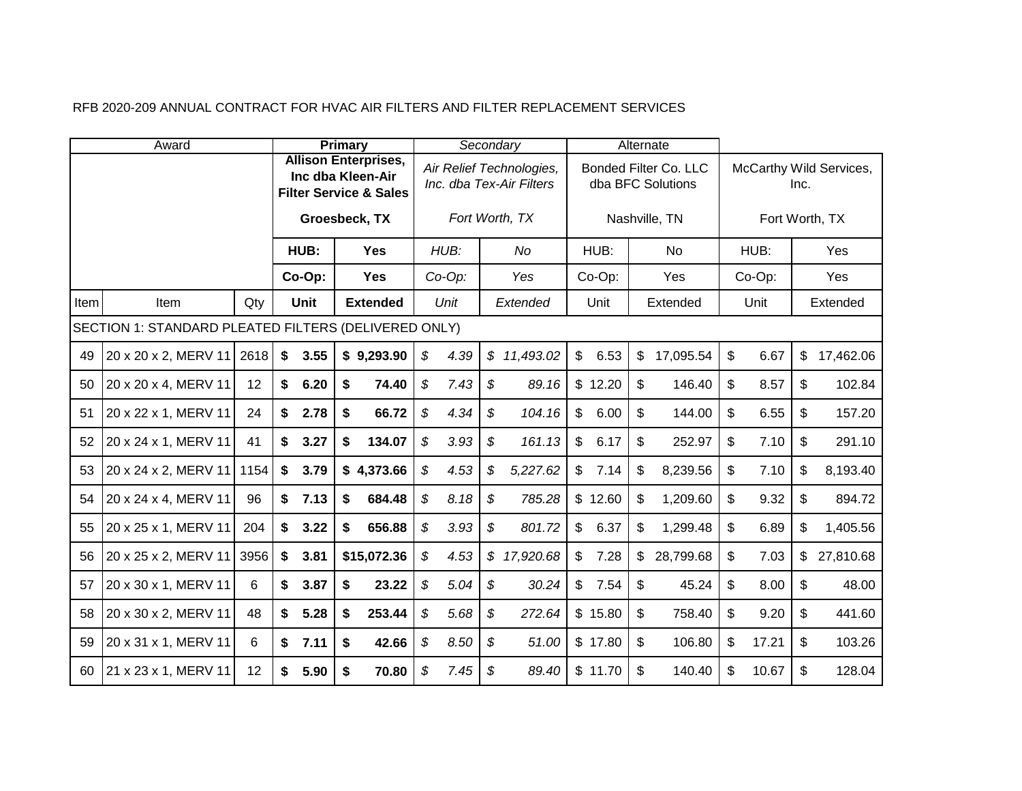|      | Award                                                |      |            | Primary |                                                                                       |                |           | Secondary                                            |                |         |                | Alternate                                  |             |      |                         |
|------|------------------------------------------------------|------|------------|---------|---------------------------------------------------------------------------------------|----------------|-----------|------------------------------------------------------|----------------|---------|----------------|--------------------------------------------|-------------|------|-------------------------|
|      |                                                      |      |            |         | <b>Allison Enterprises,</b><br>Inc dba Kleen-Air<br><b>Filter Service &amp; Sales</b> |                |           | Air Relief Technologies,<br>Inc. dba Tex-Air Filters |                |         |                | Bonded Filter Co. LLC<br>dba BFC Solutions |             | Inc. | McCarthy Wild Services, |
|      |                                                      |      |            |         | Groesbeck, TX                                                                         |                |           | Fort Worth, TX                                       |                |         |                | Nashville, TN                              |             |      | Fort Worth, TX          |
|      |                                                      |      | HUB:       |         | <b>Yes</b>                                                                            |                | HUB:      | No                                                   |                | HUB:    |                | <b>No</b>                                  | HUB:        |      | Yes                     |
|      |                                                      |      | Co-Op:     |         | <b>Yes</b>                                                                            |                | $Co-Op$ : | Yes                                                  |                | Co-Op:  |                | Yes                                        | Co-Op:      |      | Yes                     |
| Item | Item                                                 | Qty  | Unit       |         | <b>Extended</b>                                                                       |                | Unit      | Extended                                             |                | Unit    |                | Extended                                   | Unit        |      | Extended                |
|      | SECTION 1: STANDARD PLEATED FILTERS (DELIVERED ONLY) |      |            |         |                                                                                       |                |           |                                                      |                |         |                |                                            |             |      |                         |
| 49   | 20 x 20 x 2, MERV 11 2618                            |      | \$<br>3.55 |         | \$9,293.90                                                                            | $\mathfrak{F}$ | 4.39      | \$11,493.02                                          | $\mathfrak{S}$ | 6.53    | \$             | 17,095.54                                  | \$<br>6.67  | \$   | 17,462.06               |
| 50   | 20 x 20 x 4, MERV 11                                 | 12   | \$<br>6.20 | \$      | 74.40                                                                                 | $\mathfrak{L}$ | 7.43      | \$<br>89.16                                          |                | \$12.20 | \$             | 146.40                                     | \$<br>8.57  | \$   | 102.84                  |
| 51   | 20 x 22 x 1, MERV 11                                 | 24   | \$<br>2.78 | \$      | 66.72                                                                                 | \$             | 4.34      | \$<br>104.16                                         | $\mathbb{S}$   | 6.00    | $\mathfrak{S}$ | 144.00                                     | \$<br>6.55  | \$   | 157.20                  |
| 52   | 20 x 24 x 1, MERV 11                                 | 41   | \$<br>3.27 | \$      | 134.07                                                                                | \$             | 3.93      | \$<br>161.13                                         | $\mathfrak{S}$ | 6.17    | \$             | 252.97                                     | \$<br>7.10  | \$   | 291.10                  |
| 53   | 20 x 24 x 2, MERV 11                                 | 1154 | \$<br>3.79 |         | \$4,373.66                                                                            | \$             | 4.53      | \$<br>5,227.62                                       | $\mathcal{L}$  | 7.14    | \$             | 8,239.56                                   | \$<br>7.10  | \$   | 8,193.40                |
| 54   | 20 x 24 x 4, MERV 11                                 | 96   | \$<br>7.13 | \$      | 684.48                                                                                | \$             | 8.18      | \$<br>785.28                                         |                | \$12.60 | \$             | 1,209.60                                   | \$<br>9.32  | \$   | 894.72                  |
| 55   | 20 x 25 x 1, MERV 11                                 | 204  | \$<br>3.22 | \$      | 656.88                                                                                | $\mathfrak{L}$ | 3.93      | \$<br>801.72                                         | $\mathbb{S}$   | 6.37    | \$             | 1,299.48                                   | \$<br>6.89  | \$   | 1,405.56                |
| 56   | 20 x 25 x 2, MERV 11                                 | 3956 | \$<br>3.81 |         | \$15,072.36                                                                           | \$             | 4.53      | \$17,920.68                                          | $\mathfrak{S}$ | 7.28    | \$             | 28,799.68                                  | \$<br>7.03  | \$   | 27,810.68               |
| 57   | 20 x 30 x 1, MERV 11                                 | 6    | \$<br>3.87 | \$      | 23.22                                                                                 | \$             | 5.04      | \$<br>30.24                                          | $\mathfrak{S}$ | 7.54    | \$             | 45.24                                      | \$<br>8.00  | \$   | 48.00                   |
| 58   | 20 x 30 x 2, MERV 11                                 | 48   | \$<br>5.28 | \$      | 253.44                                                                                | \$             | 5.68      | \$<br>272.64                                         |                | \$15.80 | \$             | 758.40                                     | \$<br>9.20  | \$   | 441.60                  |
| 59   | 20 x 31 x 1, MERV 11                                 | 6    | \$<br>7.11 | \$      | 42.66                                                                                 | \$             | 8.50      | \$<br>51.00                                          |                | \$17.80 | \$             | 106.80                                     | \$<br>17.21 | \$   | 103.26                  |
| 60   | 21 x 23 x 1, MERV 11                                 | 12   | \$<br>5.90 | \$      | 70.80                                                                                 | \$             | 7.45      | \$<br>89.40                                          |                | \$11.70 | \$             | 140.40                                     | \$<br>10.67 | \$   | 128.04                  |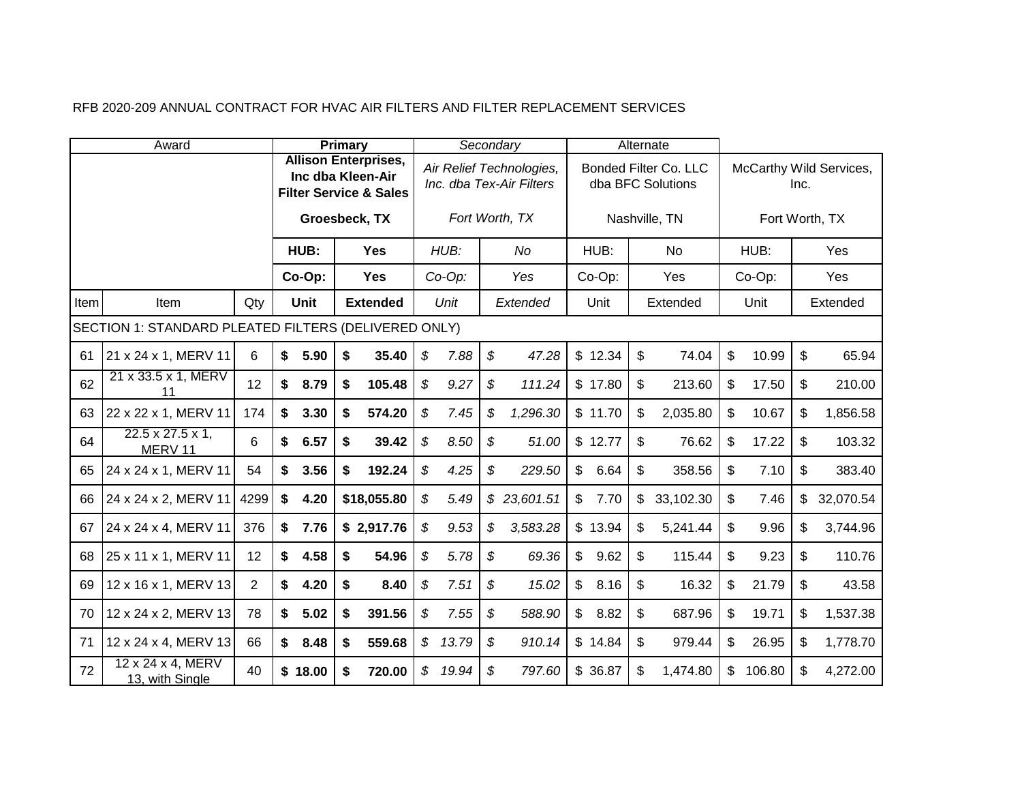|      | Award                                                |      |            | Primary |                                                                                       |                            |           |                            | Secondary                                            |                |         | Alternate                                  |              |        |      |                         |
|------|------------------------------------------------------|------|------------|---------|---------------------------------------------------------------------------------------|----------------------------|-----------|----------------------------|------------------------------------------------------|----------------|---------|--------------------------------------------|--------------|--------|------|-------------------------|
|      |                                                      |      |            |         | <b>Allison Enterprises,</b><br>Inc dba Kleen-Air<br><b>Filter Service &amp; Sales</b> |                            |           |                            | Air Relief Technologies,<br>Inc. dba Tex-Air Filters |                |         | Bonded Filter Co. LLC<br>dba BFC Solutions |              |        | Inc. | McCarthy Wild Services, |
|      |                                                      |      |            |         | Groesbeck, TX                                                                         |                            |           |                            | Fort Worth, TX                                       |                |         | Nashville, TN                              |              |        |      | Fort Worth, TX          |
|      |                                                      |      | HUB:       |         | <b>Yes</b>                                                                            |                            | HUB:      |                            | No                                                   |                | HUB:    | <b>No</b>                                  |              | HUB:   |      | Yes                     |
|      |                                                      |      | Co-Op:     |         | <b>Yes</b>                                                                            |                            | $Co-Op$ : |                            | Yes                                                  |                | Co-Op:  | Yes                                        |              | Co-Op: |      | Yes                     |
| Item | Item                                                 | Qty  | Unit       |         | <b>Extended</b>                                                                       |                            | Unit      |                            | Extended                                             |                | Unit    | Extended                                   |              | Unit   |      | Extended                |
|      | SECTION 1: STANDARD PLEATED FILTERS (DELIVERED ONLY) |      |            |         |                                                                                       |                            |           |                            |                                                      |                |         |                                            |              |        |      |                         |
| 61   | 21 x 24 x 1, MERV 11                                 | 6    | \$<br>5.90 | \$      | 35.40                                                                                 | $\boldsymbol{\mathcal{S}}$ | 7.88      | $\boldsymbol{\mathcal{S}}$ | 47.28                                                |                | \$12.34 | \$<br>74.04                                | \$           | 10.99  | \$   | 65.94                   |
| 62   | 21 x 33.5 x 1, MERV<br>11                            | 12   | \$<br>8.79 | \$      | 105.48                                                                                | \$                         | 9.27      | \$                         | 111.24                                               |                | \$17.80 | \$<br>213.60                               | \$           | 17.50  | \$   | 210.00                  |
| 63   | 22 x 22 x 1, MERV 11                                 | 174  | \$<br>3.30 | \$      | 574.20                                                                                | \$                         | 7.45      | \$                         | 1,296.30                                             |                | \$11.70 | \$<br>2,035.80                             | \$           | 10.67  | \$   | 1,856.58                |
| 64   | $22.5 \times 27.5 \times 1$ ,<br>MERV 11             | 6    | \$<br>6.57 | \$      | 39.42                                                                                 | \$                         | 8.50      | \$                         | 51.00                                                |                | \$12.77 | \$<br>76.62                                | \$           | 17.22  | \$   | 103.32                  |
| 65   | 24 x 24 x 1, MERV 11                                 | 54   | \$<br>3.56 | \$      | 192.24                                                                                | \$                         | 4.25      | \$                         | 229.50                                               | $\frac{1}{2}$  | 6.64    | \$<br>358.56                               | \$           | 7.10   | \$   | 383.40                  |
| 66   | 24 x 24 x 2, MERV 11                                 | 4299 | \$<br>4.20 |         | \$18,055.80                                                                           | $\boldsymbol{\mathcal{S}}$ | 5.49      |                            | \$23,601.51                                          | $\frac{1}{2}$  | 7.70    | \$<br>33,102.30                            | \$           | 7.46   | \$   | 32,070.54               |
| 67   | 24 x 24 x 4, MERV 11                                 | 376  | \$<br>7.76 |         | \$2,917.76                                                                            | \$                         | 9.53      | \$                         | 3,583.28                                             |                | \$13.94 | \$<br>5,241.44                             | \$           | 9.96   | \$   | 3,744.96                |
| 68   | 25 x 11 x 1, MERV 11                                 | 12   | \$<br>4.58 | \$      | 54.96                                                                                 | \$                         | 5.78      | \$                         | 69.36                                                | $\mathfrak{S}$ | 9.62    | \$<br>115.44                               | \$           | 9.23   | \$   | 110.76                  |
| 69   | 12 x 16 x 1, MERV 13                                 | 2    | \$<br>4.20 | \$      | 8.40                                                                                  | \$                         | 7.51      | \$                         | 15.02                                                | $\mathbb{S}$   | 8.16    | \$<br>16.32                                | \$           | 21.79  | \$   | 43.58                   |
| 70   | 12 x 24 x 2, MERV 13                                 | 78   | \$<br>5.02 | \$      | 391.56                                                                                | \$                         | 7.55      | \$                         | 588.90                                               | $\mathbb{S}$   | 8.82    | \$<br>687.96                               | \$           | 19.71  | \$   | 1,537.38                |
| 71   | 12 x 24 x 4, MERV 13                                 | 66   | \$<br>8.48 | \$      | 559.68                                                                                | $\mathcal{S}$              | 13.79     | $\boldsymbol{\mathcal{S}}$ | 910.14                                               |                | \$14.84 | \$<br>979.44                               | \$           | 26.95  | \$   | 1,778.70                |
| 72   | 12 x 24 x 4, MERV<br>13, with Single                 | 40   | \$18.00    | \$      | 720.00                                                                                | $\boldsymbol{\mathcal{S}}$ | 19.94     | \$                         | 797.60                                               |                | \$36.87 | \$<br>1,474.80                             | $\mathbb{S}$ | 106.80 | \$   | 4,272.00                |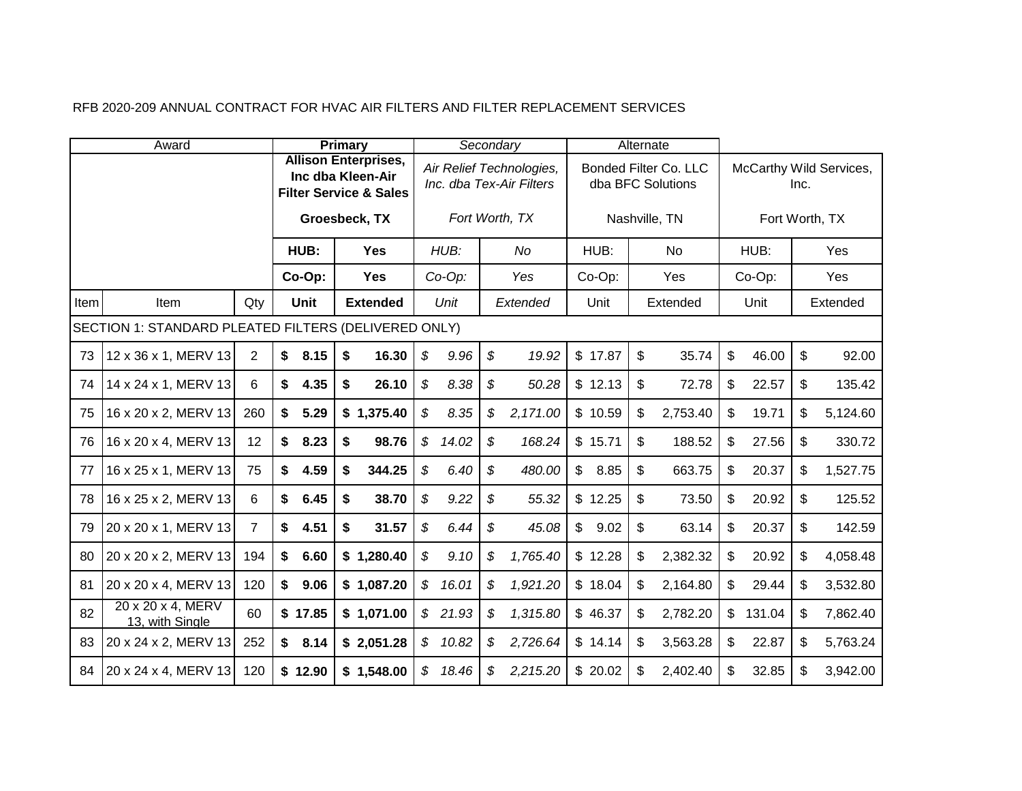|      | Award                                                |                |            | <b>Primary</b>                                                                        |                            |           |                            | Secondary                                            |              |         | Alternate |                                                   |              |                |      |                         |
|------|------------------------------------------------------|----------------|------------|---------------------------------------------------------------------------------------|----------------------------|-----------|----------------------------|------------------------------------------------------|--------------|---------|-----------|---------------------------------------------------|--------------|----------------|------|-------------------------|
|      |                                                      |                |            | <b>Allison Enterprises,</b><br>Inc dba Kleen-Air<br><b>Filter Service &amp; Sales</b> |                            |           |                            | Air Relief Technologies,<br>Inc. dba Tex-Air Filters |              |         |           | <b>Bonded Filter Co. LLC</b><br>dba BFC Solutions |              |                | Inc. | McCarthy Wild Services, |
|      |                                                      |                |            | Groesbeck, TX                                                                         |                            |           |                            | Fort Worth, TX                                       |              |         |           | Nashville, TN                                     |              | Fort Worth, TX |      |                         |
|      |                                                      |                | HUB:       | <b>Yes</b>                                                                            |                            | HUB:      |                            | No                                                   |              | HUB:    |           | <b>No</b>                                         |              | HUB:           |      | Yes                     |
|      |                                                      |                | Co-Op:     | <b>Yes</b>                                                                            |                            | $Co-Op$ : |                            | Yes                                                  |              | Co-Op:  |           | Yes                                               |              | Co-Op:         |      | Yes                     |
| Item | Item                                                 | Qty            | Unit       | <b>Extended</b>                                                                       |                            | Unit      |                            | Extended                                             |              | Unit    |           | Extended                                          |              | Unit           |      | Extended                |
|      | SECTION 1: STANDARD PLEATED FILTERS (DELIVERED ONLY) |                |            |                                                                                       |                            |           |                            |                                                      |              |         |           |                                                   |              |                |      |                         |
| 73   | 12 x 36 x 1, MERV 13                                 | 2              | \$<br>8.15 | \$<br>16.30                                                                           | $\mathfrak{F}$             | 9.96      | $\boldsymbol{\mathcal{S}}$ | 19.92                                                |              | \$17.87 | \$        | 35.74                                             | \$           | 46.00          | \$   | 92.00                   |
| 74   | 14 x 24 x 1, MERV 13                                 | 6              | \$<br>4.35 | \$<br>26.10                                                                           | $\mathfrak{L}$             | 8.38      | \$                         | 50.28                                                |              | \$12.13 | \$        | 72.78                                             | \$           | 22.57          | \$   | 135.42                  |
| 75   | 16 x 20 x 2, MERV 13                                 | 260            | \$<br>5.29 | \$1,375.40                                                                            | \$                         | 8.35      | $\mathfrak{s}$             | 2,171.00                                             |              | \$10.59 | \$        | 2,753.40                                          | \$           | 19.71          | \$   | 5,124.60                |
| 76   | 16 x 20 x 4, MERV 13                                 | 12             | \$<br>8.23 | \$<br>98.76                                                                           | $\boldsymbol{\mathcal{S}}$ | 14.02     | \$                         | 168.24                                               |              | \$15.71 | \$        | 188.52                                            | \$           | 27.56          | \$   | 330.72                  |
| 77   | 16 x 25 x 1, MERV 13                                 | 75             | \$<br>4.59 | \$<br>344.25                                                                          | \$                         | 6.40      | \$                         | 480.00                                               | $\mathbb{S}$ | 8.85    | \$        | 663.75                                            | \$           | 20.37          | \$   | 1,527.75                |
| 78   | 16 x 25 x 2, MERV 13                                 | 6              | \$<br>6.45 | \$<br>38.70                                                                           | \$                         | 9.22      | \$                         | 55.32                                                |              | \$12.25 | \$        | 73.50                                             | \$           | 20.92          | \$   | 125.52                  |
| 79   | 20 x 20 x 1, MERV 13                                 | $\overline{7}$ | \$<br>4.51 | \$<br>31.57                                                                           | $\boldsymbol{\mathcal{S}}$ | 6.44      | \$                         | 45.08                                                | $\mathbb{S}$ | 9.02    | \$        | 63.14                                             | \$           | 20.37          | \$   | 142.59                  |
| 80   | 20 x 20 x 2, MERV 13                                 | 194            | \$<br>6.60 | \$1,280.40                                                                            | \$                         | 9.10      | \$                         | 1,765.40                                             |              | \$12.28 | \$        | 2,382.32                                          | \$           | 20.92          | \$   | 4,058.48                |
| 81   | 20 x 20 x 4, MERV 13                                 | 120            | \$<br>9.06 | \$1,087.20                                                                            | $\boldsymbol{\mathcal{S}}$ | 16.01     | \$                         | 1,921.20                                             |              | \$18.04 | \$        | 2,164.80                                          | \$           | 29.44          | \$   | 3,532.80                |
| 82   | 20 x 20 x 4, MERV<br>13, with Single                 | 60             | \$17.85    | \$1,071.00                                                                            |                            | \$21.93   | \$                         | 1,315.80                                             |              | \$46.37 | \$        | 2,782.20                                          | $\mathbb{S}$ | 131.04         | \$   | 7,862.40                |
| 83   | 20 x 24 x 2, MERV 13                                 | 252            | \$<br>8.14 | \$2,051.28                                                                            |                            | \$10.82   | \$                         | 2,726.64                                             |              | \$14.14 | \$        | 3,563.28                                          | \$           | 22.87          | \$   | 5,763.24                |
| 84   | 20 x 24 x 4, MERV 13                                 | 120            | \$12.90    | \$1,548.00                                                                            | $\mathcal{S}$              | 18.46     | $\boldsymbol{\mathcal{S}}$ | 2,215.20                                             |              | \$20.02 | \$        | 2,402.40                                          | \$           | 32.85          | \$   | 3,942.00                |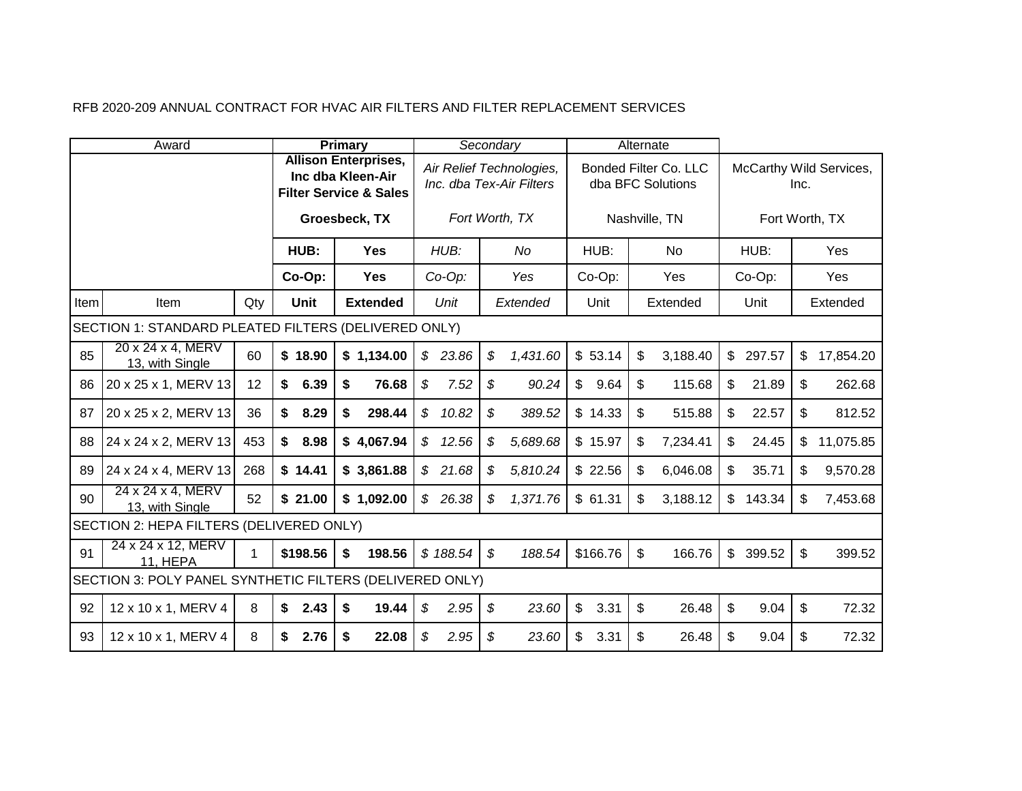|      | Award                                                    |     |                   | Primary |                                                                  |                |           |                            | Secondary                                            |                |          | Alternate                 |                                            |              |        |      |                         |
|------|----------------------------------------------------------|-----|-------------------|---------|------------------------------------------------------------------|----------------|-----------|----------------------------|------------------------------------------------------|----------------|----------|---------------------------|--------------------------------------------|--------------|--------|------|-------------------------|
|      |                                                          |     | Inc dba Kleen-Air |         | <b>Allison Enterprises,</b><br><b>Filter Service &amp; Sales</b> |                |           |                            | Air Relief Technologies,<br>Inc. dba Tex-Air Filters |                |          |                           | Bonded Filter Co. LLC<br>dba BFC Solutions |              |        | Inc. | McCarthy Wild Services, |
|      |                                                          |     |                   |         | Groesbeck, TX                                                    |                |           |                            | Fort Worth, TX                                       |                |          |                           | Nashville, TN                              |              |        |      | Fort Worth, TX          |
|      |                                                          |     | HUB:              |         | <b>Yes</b>                                                       |                | HUB:      |                            | No                                                   |                | HUB:     |                           | No                                         |              | HUB:   |      | Yes                     |
|      |                                                          |     | Co-Op:            |         | <b>Yes</b>                                                       |                | $Co-Op$ : |                            | Yes                                                  |                | Co-Op:   |                           | Yes                                        |              | Co-Op: |      | Yes                     |
| Item | Item                                                     | Qty | Unit              |         | <b>Extended</b>                                                  |                | Unit      |                            | Extended                                             |                | Unit     |                           | Extended                                   |              | Unit   |      | Extended                |
|      | SECTION 1: STANDARD PLEATED FILTERS (DELIVERED ONLY)     |     |                   |         |                                                                  |                |           |                            |                                                      |                |          |                           |                                            |              |        |      |                         |
| 85   | 20 x 24 x 4, MERV<br>13, with Single                     | 60  | \$18.90           |         | \$1,134.00                                                       |                | \$23.86   | \$                         | 1,431.60                                             |                | \$53.14  | \$                        | 3,188.40                                   | $\mathbb{S}$ | 297.57 | \$   | 17,854.20               |
| 86   | 20 x 25 x 1, MERV 13                                     | 12  | \$<br>6.39        | \$      | 76.68                                                            | $\mathfrak{L}$ | 7.52      | $\boldsymbol{\mathcal{S}}$ | 90.24                                                | $\mathbb{S}$   | 9.64     | \$                        | 115.68                                     | \$           | 21.89  | \$   | 262.68                  |
| 87   | 20 x 25 x 2, MERV 13                                     | 36  | \$<br>8.29        | \$      | 298.44                                                           | $\mathcal{S}$  | 10.82     | \$                         | 389.52                                               |                | \$14.33  | \$                        | 515.88                                     | \$           | 22.57  | \$   | 812.52                  |
| 88   | 24 x 24 x 2, MERV 13                                     | 453 | \$<br>8.98        |         | \$4,067.94                                                       | $\mathcal{S}$  | 12.56     | \$                         | 5,689.68                                             |                | \$15.97  | \$                        | 7,234.41                                   | \$           | 24.45  | \$   | 11,075.85               |
| 89   | 24 x 24 x 4, MERV 13                                     | 268 | \$14.41           |         | \$3,861.88                                                       |                | \$21.68   | \$                         | 5,810.24                                             |                | \$22.56  | $\boldsymbol{\mathsf{S}}$ | 6,046.08                                   | \$           | 35.71  | \$   | 9,570.28                |
| 90   | 24 x 24 x 4, MERV<br>13, with Single                     | 52  | \$21.00           |         | \$1,092.00                                                       |                | \$26.38   | \$                         | 1,371.76                                             |                | \$61.31  | \$                        | 3,188.12                                   | \$           | 143.34 | \$   | 7,453.68                |
|      | SECTION 2: HEPA FILTERS (DELIVERED ONLY)                 |     |                   |         |                                                                  |                |           |                            |                                                      |                |          |                           |                                            |              |        |      |                         |
| 91   | 24 x 24 x 12, MERV<br>11, HEPA                           | 1.  | \$198.56          | \$      | 198.56                                                           |                | \$188.54  | $\mathcal{L}$              | 188.54                                               |                | \$166.76 | $\mathfrak{L}$            | 166.76                                     | $\mathbb{S}$ | 399.52 | \$   | 399.52                  |
|      | SECTION 3: POLY PANEL SYNTHETIC FILTERS (DELIVERED ONLY) |     |                   |         |                                                                  |                |           |                            |                                                      |                |          |                           |                                            |              |        |      |                         |
| 92   | 12 x 10 x 1, MERV 4                                      | 8   | \$<br>2.43        | \$      | 19.44                                                            | \$             | 2.95      | $\mathcal{L}$              | 23.60                                                | $\mathfrak{S}$ | 3.31     | $\boldsymbol{\mathsf{S}}$ | 26.48                                      | \$           | 9.04   | \$   | 72.32                   |
| 93   | 12 x 10 x 1, MERV 4                                      | 8   | \$<br>2.76        | \$      | 22.08                                                            | \$             | 2.95      | \$                         | 23.60                                                | \$             | 3.31     | \$                        | 26.48                                      | \$           | 9.04   | \$   | 72.32                   |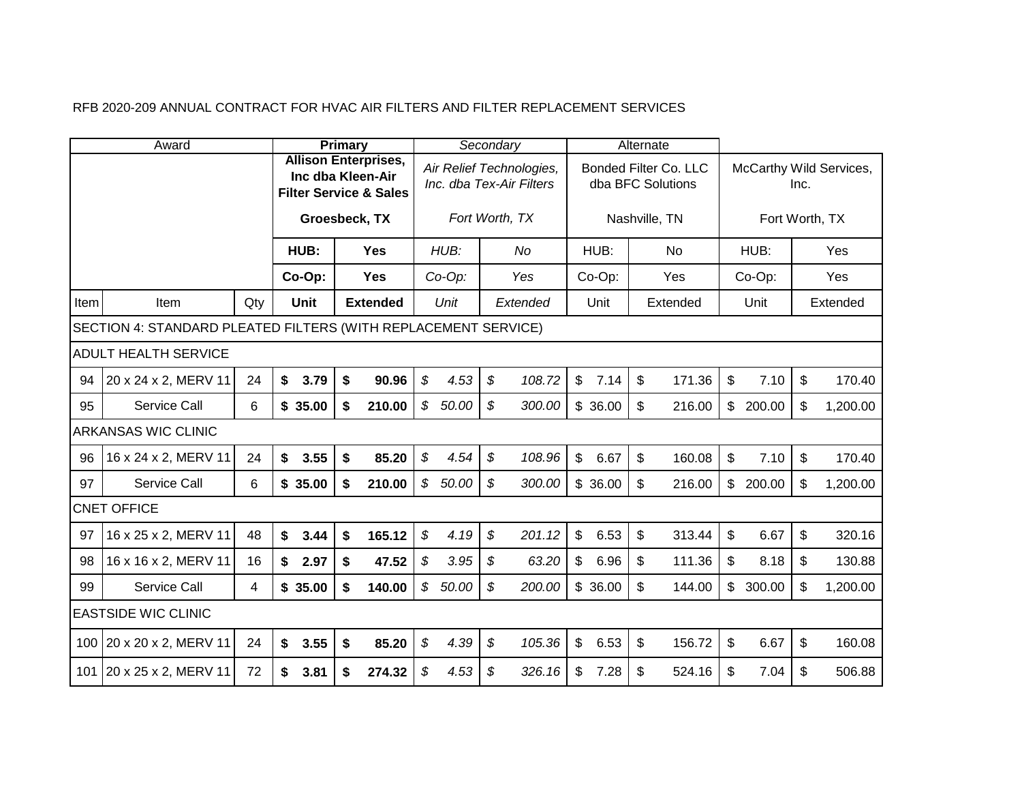|      | Award                                                          |     |             | <b>Primary</b>                                                                        |                            |           |               | Secondary                                            |                |         | Alternate                 |                                            |                |                |                           |                         |
|------|----------------------------------------------------------------|-----|-------------|---------------------------------------------------------------------------------------|----------------------------|-----------|---------------|------------------------------------------------------|----------------|---------|---------------------------|--------------------------------------------|----------------|----------------|---------------------------|-------------------------|
|      |                                                                |     |             | <b>Allison Enterprises,</b><br>Inc dba Kleen-Air<br><b>Filter Service &amp; Sales</b> |                            |           |               | Air Relief Technologies,<br>Inc. dba Tex-Air Filters |                |         |                           | Bonded Filter Co. LLC<br>dba BFC Solutions |                |                | Inc.                      | McCarthy Wild Services, |
|      |                                                                |     |             | Groesbeck, TX                                                                         |                            |           |               | Fort Worth, TX                                       |                |         |                           | Nashville, TN                              |                | Fort Worth, TX |                           |                         |
|      |                                                                |     | HUB:        | <b>Yes</b>                                                                            |                            | HUB:      |               | No                                                   |                | HUB:    |                           | No                                         |                | HUB:           |                           | Yes                     |
|      |                                                                |     | Co-Op:      | <b>Yes</b>                                                                            |                            | $Co-Op$ : |               | Yes                                                  |                | Co-Op:  |                           | Yes                                        |                | Co-Op:         |                           | Yes                     |
| Item | Item                                                           | Qty | <b>Unit</b> | <b>Extended</b>                                                                       |                            | Unit      |               | Extended                                             |                | Unit    |                           | Extended                                   |                | Unit           |                           | Extended                |
|      | SECTION 4: STANDARD PLEATED FILTERS (WITH REPLACEMENT SERVICE) |     |             |                                                                                       |                            |           |               |                                                      |                |         |                           |                                            |                |                |                           |                         |
|      | <b>ADULT HEALTH SERVICE</b>                                    |     |             |                                                                                       |                            |           |               |                                                      |                |         |                           |                                            |                |                |                           |                         |
| 94   | 20 x 24 x 2, MERV 11                                           | 24  | \$<br>3.79  | \$<br>90.96                                                                           | \$                         | 4.53      | \$            | 108.72                                               | $\mathfrak{S}$ | 7.14    | $\mathfrak{S}$            | 171.36                                     | \$             | 7.10           | $\mathfrak{S}$            | 170.40                  |
| 95   | Service Call                                                   | 6   | \$35.00     | \$<br>210.00                                                                          |                            | \$50.00   | \$            | 300.00                                               |                | \$36.00 | $\mathfrak{F}$            | 216.00                                     |                | \$200.00       | $\boldsymbol{\mathsf{S}}$ | 1,200.00                |
|      | <b>ARKANSAS WIC CLINIC</b>                                     |     |             |                                                                                       |                            |           |               |                                                      |                |         |                           |                                            |                |                |                           |                         |
| 96   | 16 x 24 x 2, MERV 11                                           | 24  | \$<br>3.55  | \$<br>85.20                                                                           | \$                         | 4.54      | $\mathcal{S}$ | 108.96                                               | $\mathfrak{S}$ | 6.67    | $\mathfrak{S}$            | 160.08                                     | \$             | 7.10           | $\mathbb{S}$              | 170.40                  |
| 97   | Service Call                                                   | 6   | \$35.00     | \$<br>210.00                                                                          | $\boldsymbol{\mathcal{S}}$ | 50.00     | \$            | 300.00                                               |                | \$36.00 | $\mathfrak{S}$            | 216.00                                     | $\mathbb{S}$   | 200.00         | \$                        | 1,200.00                |
|      | <b>CNET OFFICE</b>                                             |     |             |                                                                                       |                            |           |               |                                                      |                |         |                           |                                            |                |                |                           |                         |
| 97   | 16 x 25 x 2, MERV 11                                           | 48  | \$<br>3.44  | 165.12<br>\$                                                                          | $\boldsymbol{\mathcal{S}}$ | 4.19      | \$            | 201.12                                               | $\mathfrak{S}$ | 6.53    | $\mathfrak{F}$            | 313.44                                     | \$             | 6.67           | $\mathfrak{S}$            | 320.16                  |
| 98   | 16 x 16 x 2, MERV 11                                           | 16  | \$<br>2.97  | 47.52<br>\$                                                                           | \$                         | 3.95      | \$            | 63.20                                                | $\mathfrak{S}$ | 6.96    | $\boldsymbol{\mathsf{S}}$ | 111.36                                     | \$             | 8.18           | $\frac{1}{2}$             | 130.88                  |
| 99   | Service Call                                                   | 4   | \$35.00     | \$<br>140.00                                                                          |                            | \$50.00   | \$            | 200.00                                               |                | \$36.00 | $\mathfrak{L}$            | 144.00                                     | $\mathfrak{S}$ | 300.00         | \$                        | 1,200.00                |
|      | <b>EASTSIDE WIC CLINIC</b>                                     |     |             |                                                                                       |                            |           |               |                                                      |                |         |                           |                                            |                |                |                           |                         |
|      | 100 20 x 20 x 2, MERV 11                                       | 24  | 3.55<br>\$  | 85.20<br>\$                                                                           | $\boldsymbol{\mathcal{S}}$ | 4.39      | \$            | 105.36                                               | $\mathfrak{S}$ | 6.53    | $\boldsymbol{\mathsf{S}}$ | 156.72                                     | \$             | 6.67           | \$                        | 160.08                  |
|      | 101 20 x 25 x 2, MERV 11                                       | 72  | 3.81<br>\$  | \$<br>274.32                                                                          | \$                         | 4.53      | \$            | 326.16                                               | \$             | 7.28    | \$                        | 524.16                                     | \$             | 7.04           | \$                        | 506.88                  |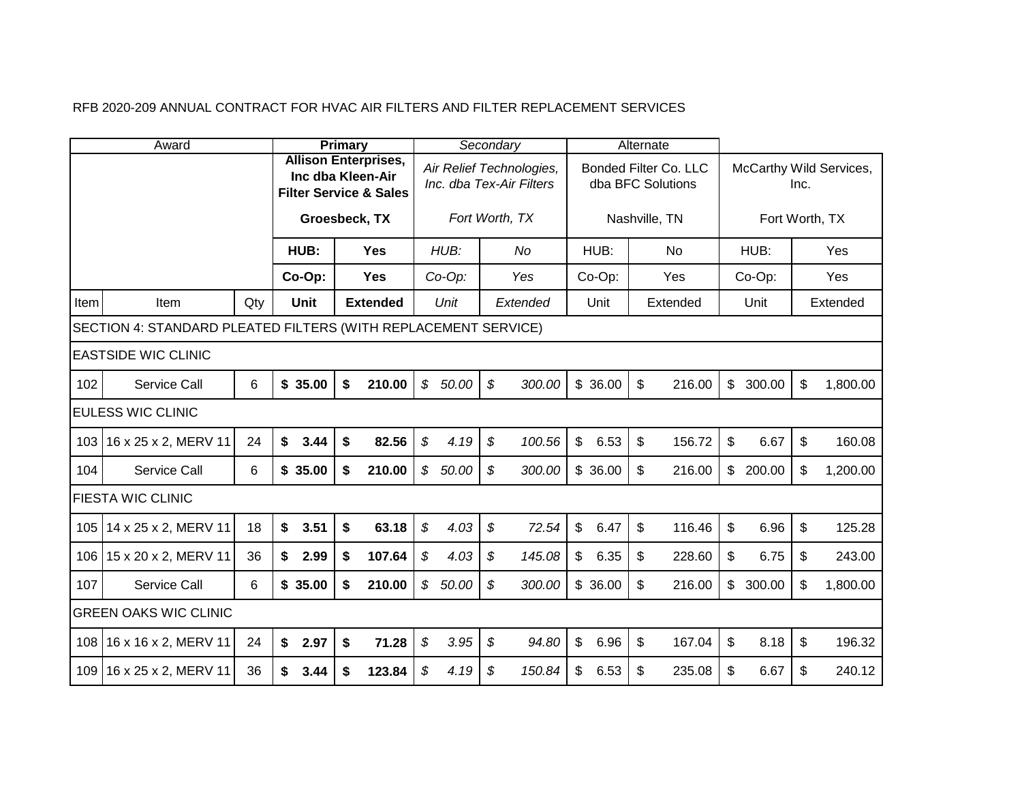|      | Award                                                          |     |             | <b>Primary</b>                                                                        |                            |         |               | Secondary                                            |                        | Alternate                                  |               |        |                           |                         |
|------|----------------------------------------------------------------|-----|-------------|---------------------------------------------------------------------------------------|----------------------------|---------|---------------|------------------------------------------------------|------------------------|--------------------------------------------|---------------|--------|---------------------------|-------------------------|
|      |                                                                |     |             | <b>Allison Enterprises,</b><br>Inc dba Kleen-Air<br><b>Filter Service &amp; Sales</b> |                            |         |               | Air Relief Technologies,<br>Inc. dba Tex-Air Filters |                        | Bonded Filter Co. LLC<br>dba BFC Solutions |               |        | Inc.                      | McCarthy Wild Services, |
|      |                                                                |     |             | Groesbeck, TX                                                                         |                            |         |               | Fort Worth, TX                                       |                        | Nashville, TN                              |               |        |                           | Fort Worth, TX          |
|      |                                                                |     | HUB:        | <b>Yes</b>                                                                            |                            | HUB:    |               | No                                                   | HUB:                   | <b>No</b>                                  |               | HUB:   |                           | Yes                     |
|      |                                                                |     | Co-Op:      | <b>Yes</b>                                                                            |                            | Co-Op:  |               | Yes                                                  | Co-Op:                 | Yes                                        |               | Co-Op: |                           | Yes                     |
| Item | Item                                                           | Qty | <b>Unit</b> | <b>Extended</b>                                                                       |                            | Unit    |               | Extended                                             | Unit                   | Extended                                   |               | Unit   |                           | Extended                |
|      | SECTION 4: STANDARD PLEATED FILTERS (WITH REPLACEMENT SERVICE) |     |             |                                                                                       |                            |         |               |                                                      |                        |                                            |               |        |                           |                         |
|      | <b>IEASTSIDE WIC CLINIC</b>                                    |     |             |                                                                                       |                            |         |               |                                                      |                        |                                            |               |        |                           |                         |
| 102  | Service Call                                                   | 6   | \$35.00     | 210.00<br>\$                                                                          |                            | \$50.00 | $\mathcal{S}$ | 300.00                                               | \$36.00                | $\mathfrak{S}$<br>216.00                   | $\mathsf{\$}$ | 300.00 | \$                        | 1,800.00                |
|      | <b>EULESS WIC CLINIC</b>                                       |     |             |                                                                                       |                            |         |               |                                                      |                        |                                            |               |        |                           |                         |
| 103  | 16 x 25 x 2, MERV 11                                           | 24  | \$<br>3.44  | \$<br>82.56                                                                           | $\boldsymbol{\mathcal{S}}$ | 4.19    | \$            | 100.56                                               | $\mathfrak{S}$<br>6.53 | $\mathfrak{S}$<br>156.72                   | \$            | 6.67   | $\sqrt[6]{\frac{1}{2}}$   | 160.08                  |
| 104  | Service Call                                                   | 6   | \$35.00     | 210.00<br>\$                                                                          |                            | \$50.00 | \$            | 300.00                                               | \$36.00                | $\mathfrak{F}$<br>216.00                   | $\mathbb{S}$  | 200.00 | \$                        | 1,200.00                |
|      | <b>FIESTA WIC CLINIC</b>                                       |     |             |                                                                                       |                            |         |               |                                                      |                        |                                            |               |        |                           |                         |
| 105  | 14 x 25 x 2, MERV 11                                           | 18  | \$<br>3.51  | \$<br>63.18                                                                           | \$                         | 4.03    | \$            | 72.54                                                | $\mathfrak{S}$<br>6.47 | \$<br>116.46                               | \$            | 6.96   | $\boldsymbol{\mathsf{S}}$ | 125.28                  |
| 106  | 15 x 20 x 2, MERV 11                                           | 36  | \$<br>2.99  | \$<br>107.64                                                                          | $\mathfrak{L}$             | 4.03    | \$            | 145.08                                               | $\mathsf{\$}$<br>6.35  | $\boldsymbol{\mathsf{s}}$<br>228.60        | \$            | 6.75   | \$                        | 243.00                  |
| 107  | Service Call                                                   | 6   | \$35.00     | 210.00<br>\$                                                                          |                            | \$50.00 | \$            | 300.00                                               | \$36.00                | $\mathfrak{L}$<br>216.00                   | $\frac{1}{2}$ | 300.00 | \$                        | 1,800.00                |
|      | <b>GREEN OAKS WIC CLINIC</b>                                   |     |             |                                                                                       |                            |         |               |                                                      |                        |                                            |               |        |                           |                         |
| 108  | 16 x 16 x 2, MERV 11                                           | 24  | \$<br>2.97  | \$<br>71.28                                                                           | $\boldsymbol{\mathcal{S}}$ | 3.95    | \$            | 94.80                                                | $\mathfrak{S}$<br>6.96 | $\sqrt[6]{\frac{1}{2}}$<br>167.04          | \$            | 8.18   | $\boldsymbol{\mathsf{S}}$ | 196.32                  |
|      | 109 16 x 25 x 2, MERV 11                                       | 36  | 3.44<br>S.  | 123.84<br>\$                                                                          | \$                         | 4.19    | \$            | 150.84                                               | \$<br>6.53             | $\boldsymbol{\mathsf{s}}$<br>235.08        | \$            | 6.67   | \$                        | 240.12                  |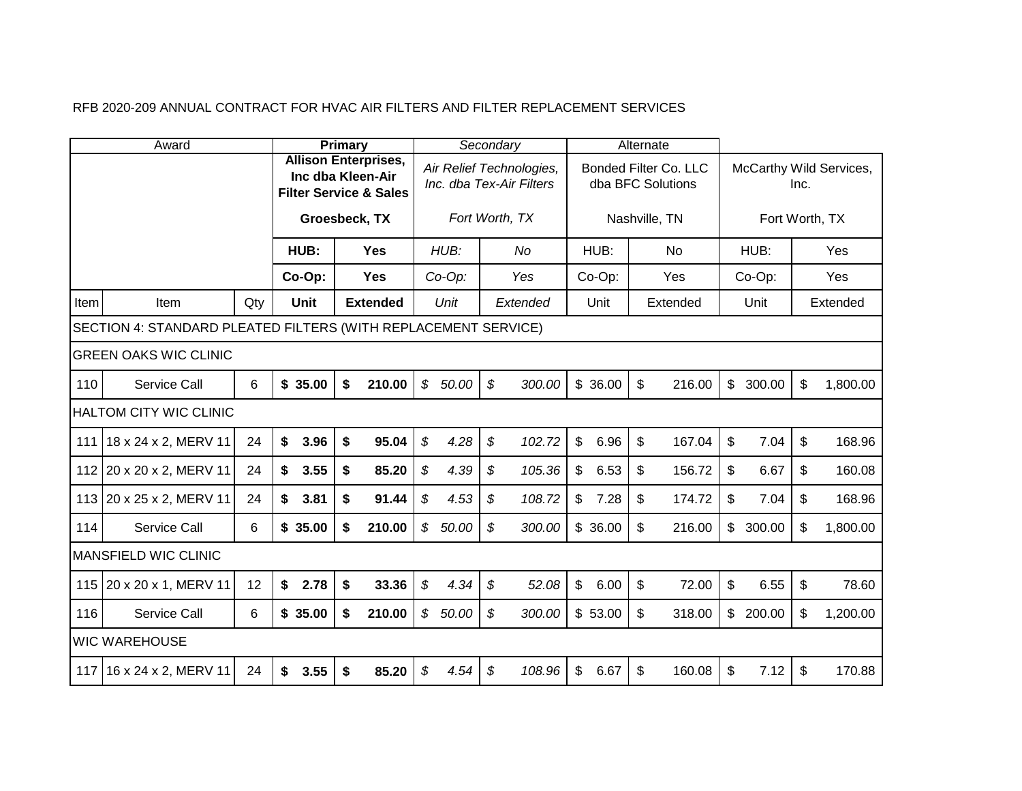|       | Award                                                          |     |             | Primary                                                                               |                            |           | Secondary      |                                                      |                        | Alternate                                  |              |          |                           |                         |
|-------|----------------------------------------------------------------|-----|-------------|---------------------------------------------------------------------------------------|----------------------------|-----------|----------------|------------------------------------------------------|------------------------|--------------------------------------------|--------------|----------|---------------------------|-------------------------|
|       |                                                                |     |             | <b>Allison Enterprises,</b><br>Inc dba Kleen-Air<br><b>Filter Service &amp; Sales</b> |                            |           |                | Air Relief Technologies,<br>Inc. dba Tex-Air Filters |                        | Bonded Filter Co. LLC<br>dba BFC Solutions |              |          | Inc.                      | McCarthy Wild Services, |
|       |                                                                |     |             | Groesbeck, TX                                                                         |                            |           |                | Fort Worth, TX                                       |                        | Nashville, TN                              |              |          |                           | Fort Worth, TX          |
|       |                                                                |     | HUB:        | <b>Yes</b>                                                                            |                            | HUB:      |                | No                                                   | HUB:                   | No                                         |              | HUB:     |                           | Yes                     |
|       |                                                                |     | Co-Op:      | <b>Yes</b>                                                                            |                            | $Co-Op$ : |                | Yes                                                  | Co-Op:                 | Yes                                        |              | Co-Op:   |                           | Yes                     |
| Item  | Item                                                           | Qty | <b>Unit</b> | <b>Extended</b>                                                                       |                            | Unit      |                | Extended                                             | Unit                   | Extended                                   |              | Unit     |                           | Extended                |
|       | SECTION 4: STANDARD PLEATED FILTERS (WITH REPLACEMENT SERVICE) |     |             |                                                                                       |                            |           |                |                                                      |                        |                                            |              |          |                           |                         |
|       | <b>GREEN OAKS WIC CLINIC</b>                                   |     |             |                                                                                       |                            |           |                |                                                      |                        |                                            |              |          |                           |                         |
| 110   | Service Call                                                   | 6   | \$35.00     | 210.00<br>\$                                                                          |                            | \$50.00   | $\mathfrak{s}$ | 300.00                                               | \$36.00                | $\mathfrak{L}$<br>216.00                   | $\mathbb{S}$ | 300.00   | $\boldsymbol{\mathsf{S}}$ | 1,800.00                |
|       | <b>HALTOM CITY WIC CLINIC</b>                                  |     |             |                                                                                       |                            |           |                |                                                      |                        |                                            |              |          |                           |                         |
| 111   | 18 x 24 x 2, MERV 11                                           | 24  | \$<br>3.96  | 95.04<br>\$                                                                           | \$                         | 4.28      | \$             | 102.72                                               | $\mathfrak{S}$<br>6.96 | $\mathfrak{L}$<br>167.04                   | \$           | 7.04     | $\mathfrak{L}$            | 168.96                  |
| 112   | 20 x 20 x 2, MERV 11                                           | 24  | 3.55<br>\$  | \$<br>85.20                                                                           | \$                         | 4.39      | \$             | 105.36                                               | $\mathfrak{S}$<br>6.53 | \$<br>156.72                               | \$           | 6.67     | \$                        | 160.08                  |
| 113   | 20 x 25 x 2, MERV 11                                           | 24  | 3.81<br>\$  | 91.44<br>\$                                                                           | \$                         | 4.53      | \$             | 108.72                                               | $\mathsf{\$}$<br>7.28  | \$<br>174.72                               | \$           | 7.04     | \$                        | 168.96                  |
| 114   | Service Call                                                   | 6   | \$35.00     | 210.00<br>\$                                                                          |                            | \$50.00   | \$             | 300.00                                               | \$36.00                | \$<br>216.00                               | \$           | 300.00   | \$                        | 1,800.00                |
|       | <b>MANSFIELD WIC CLINIC</b>                                    |     |             |                                                                                       |                            |           |                |                                                      |                        |                                            |              |          |                           |                         |
| 115   | 20 x 20 x 1, MERV 11                                           | 12  | \$<br>2.78  | 33.36<br>\$                                                                           | $\boldsymbol{\mathcal{S}}$ | 4.34      | \$             | 52.08                                                | $\mathbb S$<br>6.00    | $\mathfrak{L}$<br>72.00                    | \$           | 6.55     | $\sqrt[6]{\frac{1}{2}}$   | 78.60                   |
| 116   | Service Call                                                   | 6   | \$35.00     | \$<br>210.00                                                                          |                            | \$50.00   | \$             | 300.00                                               | \$53.00                | $\mathfrak{L}$<br>318.00                   |              | \$200.00 | $\boldsymbol{\mathsf{S}}$ | 1,200.00                |
|       | <b>WIC WAREHOUSE</b>                                           |     |             |                                                                                       |                            |           |                |                                                      |                        |                                            |              |          |                           |                         |
| 117 I | 16 x 24 x 2, MERV 11                                           | 24  | \$<br>3.55  | \$<br>85.20                                                                           | \$                         | 4.54      | \$             | 108.96                                               | $\mathfrak{S}$<br>6.67 | $\mathfrak{F}$<br>160.08                   | \$           | 7.12     | $\mathfrak{S}$            | 170.88                  |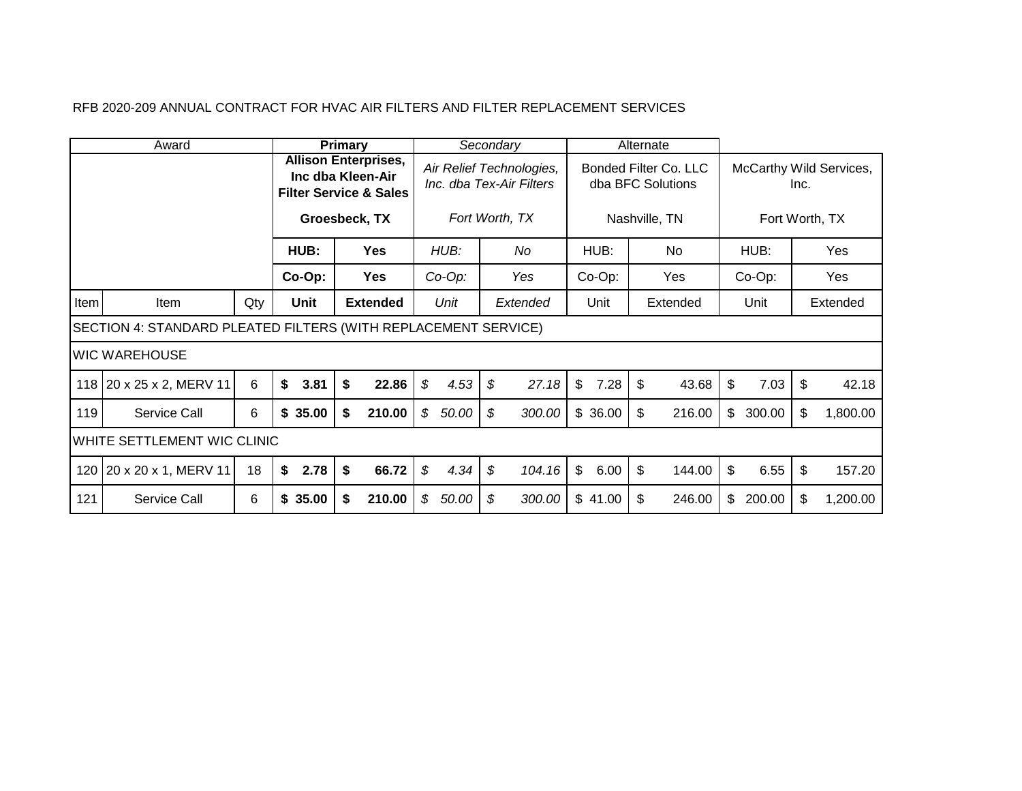| Award |                                                                |     | Primary                                                                                                |                 | Secondary |                                                                        |    | Alternate |                                                             |      |    |                                                   |    |           |    |          |
|-------|----------------------------------------------------------------|-----|--------------------------------------------------------------------------------------------------------|-----------------|-----------|------------------------------------------------------------------------|----|-----------|-------------------------------------------------------------|------|----|---------------------------------------------------|----|-----------|----|----------|
|       |                                                                |     | <b>Allison Enterprises,</b><br>Inc dba Kleen-Air<br><b>Filter Service &amp; Sales</b><br>Groesbeck, TX |                 |           | Air Relief Technologies,<br>Inc. dba Tex-Air Filters<br>Fort Worth, TX |    |           | Bonded Filter Co. LLC<br>dba BFC Solutions<br>Nashville, TN |      |    | McCarthy Wild Services,<br>Inc.<br>Fort Worth, TX |    |           |    |          |
|       |                                                                |     | HUB:                                                                                                   | <b>Yes</b>      |           | HUB:                                                                   |    | No        | HUB:                                                        |      |    | No                                                |    | HUB:      |    | Yes      |
|       |                                                                |     | $Co-Op$ :                                                                                              | <b>Yes</b>      |           | $Co-Op$ :                                                              |    | Yes       | $Co-Op$ :                                                   |      |    | Yes                                               |    | $Co-Op$ : |    | Yes      |
| Item  | Item                                                           | Qty | Unit                                                                                                   | <b>Extended</b> |           | Unit                                                                   |    | Extended  | Unit                                                        |      |    | Extended                                          |    | Unit      |    | Extended |
|       | SECTION 4: STANDARD PLEATED FILTERS (WITH REPLACEMENT SERVICE) |     |                                                                                                        |                 |           |                                                                        |    |           |                                                             |      |    |                                                   |    |           |    |          |
|       | IWIC WAREHOUSE                                                 |     |                                                                                                        |                 |           |                                                                        |    |           |                                                             |      |    |                                                   |    |           |    |          |
|       | 118 20 x 25 x 2, MERV 11                                       | 6   | \$<br>3.81                                                                                             | \$<br>22.86     | \$        | 4.53                                                                   | \$ | 27.18     | \$                                                          | 7.28 | \$ | 43.68                                             | \$ | 7.03      | \$ | 42.18    |
| 119   | <b>Service Call</b>                                            | 6   | \$35.00                                                                                                | 210.00<br>\$    | \$        | 50.00                                                                  | \$ | 300.00    | \$36.00                                                     |      | \$ | 216.00                                            | \$ | 300.00    | \$ | 1,800.00 |
|       | WHITE SETTLEMENT WIC CLINIC                                    |     |                                                                                                        |                 |           |                                                                        |    |           |                                                             |      |    |                                                   |    |           |    |          |
|       | 120   20 x 20 x 1, MERV 11                                     | 18  | \$<br>2.78                                                                                             | \$<br>66.72     | \$        | 4.34                                                                   | \$ | 104.16    | $\mathbb{S}$                                                | 6.00 | \$ | 144.00                                            | \$ | 6.55      | \$ | 157.20   |
| 121   | <b>Service Call</b>                                            | 6   | \$35.00                                                                                                | 210.00<br>\$    | \$        | 50.00                                                                  | \$ | 300.00    | \$41.00                                                     |      | \$ | 246.00                                            | \$ | 200.00    | \$ | 1,200.00 |